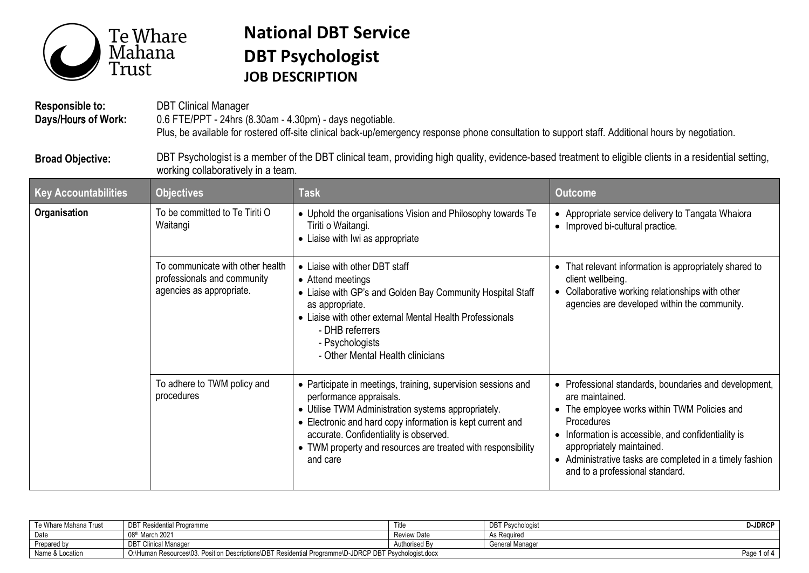

## **National DBT Service DBT Psychologist JOB DESCRIPTION**

**Responsible to: Days**/Hours **of Work:**  DBT Clinical Manager 0.6 FTE/PPT - 24hrs (8.30am - 4.30pm) - days negotiable. Plus, be available for rostered off-site clinical back-up/emergency response phone consultation to support staff. Additional hours by negotiation.

**Broad Objective:**  DBT Psychologist is a member of the DBT clinical team, providing high quality, evidence-based treatment to eligible clients in a residential setting, working collaboratively in a team.

| <b>Key Accountabilities</b> | <b>Objectives</b>                                                                           | <b>Task</b>                                                                                                                                                                                                                                                                                                                         | <b>Outcome</b>                                                                                                                                                                                                                                                                                                                            |
|-----------------------------|---------------------------------------------------------------------------------------------|-------------------------------------------------------------------------------------------------------------------------------------------------------------------------------------------------------------------------------------------------------------------------------------------------------------------------------------|-------------------------------------------------------------------------------------------------------------------------------------------------------------------------------------------------------------------------------------------------------------------------------------------------------------------------------------------|
| Organisation                | To be committed to Te Tiriti O<br>Waitangi                                                  | • Uphold the organisations Vision and Philosophy towards Te<br>Tiriti o Waitangi.<br>• Liaise with Iwi as appropriate                                                                                                                                                                                                               | • Appropriate service delivery to Tangata Whaiora<br>• Improved bi-cultural practice.                                                                                                                                                                                                                                                     |
|                             | To communicate with other health<br>professionals and community<br>agencies as appropriate. | • Liaise with other DBT staff<br>• Attend meetings<br>• Liaise with GP's and Golden Bay Community Hospital Staff<br>as appropriate.<br>• Liaise with other external Mental Health Professionals<br>- DHB referrers<br>- Psychologists<br>- Other Mental Health clinicians                                                           | That relevant information is appropriately shared to<br>$\bullet$<br>client wellbeing.<br>Collaborative working relationships with other<br>$\bullet$<br>agencies are developed within the community.                                                                                                                                     |
|                             | To adhere to TWM policy and<br>procedures                                                   | • Participate in meetings, training, supervision sessions and<br>performance appraisals.<br>• Utilise TWM Administration systems appropriately.<br>• Electronic and hard copy information is kept current and<br>accurate. Confidentiality is observed.<br>• TWM property and resources are treated with responsibility<br>and care | • Professional standards, boundaries and development,<br>are maintained.<br>The employee works within TWM Policies and<br>$\bullet$<br><b>Procedures</b><br>Information is accessible, and confidentiality is<br>appropriately maintained.<br>• Administrative tasks are completed in a timely fashion<br>and to a professional standard. |

| Te Whare Mahana Trust | <b>DBT Residential Programme</b>                                                                           |                    | <b>DBT Psychologis</b> | <b>J-JDRCP</b> |
|-----------------------|------------------------------------------------------------------------------------------------------------|--------------------|------------------------|----------------|
| Date                  | 08th March 2021                                                                                            | <b>Review Date</b> | As Required            |                |
| Prepared by           | <b>DBT Clinical Manager</b>                                                                                | Authorised By      | General Manager        |                |
| Name                  | O:\Human Resources\03, Position Descriptions\DBT Residential Programme\D-JDRCP DBT Ps<br>Psychologist.docx |                    |                        | Page<br>1 of 4 |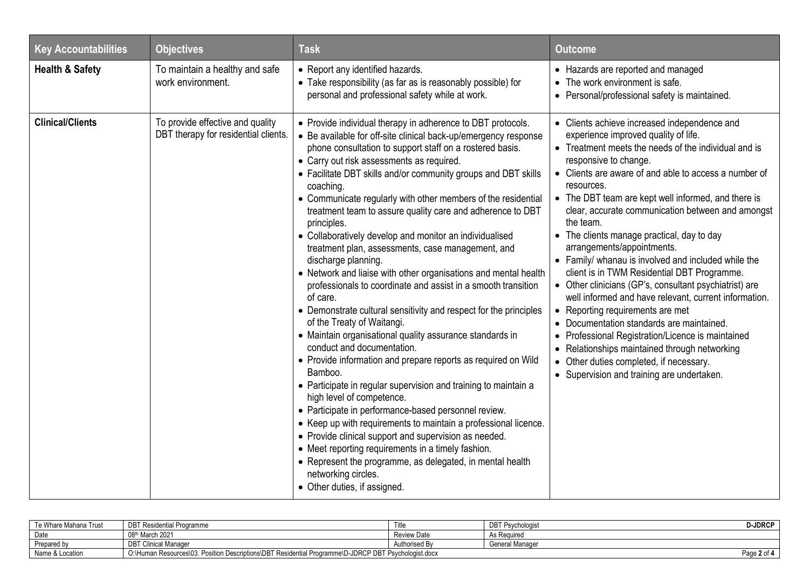| <b>Key Accountabilities</b> | <b>Objectives</b>                                                        | <b>Task</b>                                                                                                                                                                                                                                                                                                                                                                                                                                                                                                                                                                                                                                                                                                                                                                                                                                                                                                                                                                                                                                                                                                                                                                                                                                                                                                                                                                                                                                                                                        | <b>Outcome</b>                                                                                                                                                                                                                                                                                                                                                                                                                                                                                                                                                                                                                                                                                                                                                                                                                                                                                                                                             |
|-----------------------------|--------------------------------------------------------------------------|----------------------------------------------------------------------------------------------------------------------------------------------------------------------------------------------------------------------------------------------------------------------------------------------------------------------------------------------------------------------------------------------------------------------------------------------------------------------------------------------------------------------------------------------------------------------------------------------------------------------------------------------------------------------------------------------------------------------------------------------------------------------------------------------------------------------------------------------------------------------------------------------------------------------------------------------------------------------------------------------------------------------------------------------------------------------------------------------------------------------------------------------------------------------------------------------------------------------------------------------------------------------------------------------------------------------------------------------------------------------------------------------------------------------------------------------------------------------------------------------------|------------------------------------------------------------------------------------------------------------------------------------------------------------------------------------------------------------------------------------------------------------------------------------------------------------------------------------------------------------------------------------------------------------------------------------------------------------------------------------------------------------------------------------------------------------------------------------------------------------------------------------------------------------------------------------------------------------------------------------------------------------------------------------------------------------------------------------------------------------------------------------------------------------------------------------------------------------|
| <b>Health &amp; Safety</b>  | To maintain a healthy and safe<br>work environment.                      | • Report any identified hazards.<br>• Take responsibility (as far as is reasonably possible) for<br>personal and professional safety while at work.                                                                                                                                                                                                                                                                                                                                                                                                                                                                                                                                                                                                                                                                                                                                                                                                                                                                                                                                                                                                                                                                                                                                                                                                                                                                                                                                                | • Hazards are reported and managed<br>• The work environment is safe.<br>• Personal/professional safety is maintained.                                                                                                                                                                                                                                                                                                                                                                                                                                                                                                                                                                                                                                                                                                                                                                                                                                     |
| <b>Clinical/Clients</b>     | To provide effective and quality<br>DBT therapy for residential clients. | • Provide individual therapy in adherence to DBT protocols.<br>• Be available for off-site clinical back-up/emergency response<br>phone consultation to support staff on a rostered basis.<br>• Carry out risk assessments as required.<br>• Facilitate DBT skills and/or community groups and DBT skills<br>coaching.<br>• Communicate regularly with other members of the residential<br>treatment team to assure quality care and adherence to DBT<br>principles.<br>• Collaboratively develop and monitor an individualised<br>treatment plan, assessments, case management, and<br>discharge planning.<br>• Network and liaise with other organisations and mental health<br>professionals to coordinate and assist in a smooth transition<br>of care.<br>• Demonstrate cultural sensitivity and respect for the principles<br>of the Treaty of Waitangi.<br>• Maintain organisational quality assurance standards in<br>conduct and documentation.<br>• Provide information and prepare reports as required on Wild<br>Bamboo.<br>• Participate in regular supervision and training to maintain a<br>high level of competence.<br>• Participate in performance-based personnel review.<br>• Keep up with requirements to maintain a professional licence.<br>• Provide clinical support and supervision as needed.<br>• Meet reporting requirements in a timely fashion.<br>• Represent the programme, as delegated, in mental health<br>networking circles.<br>• Other duties, if assigned. | • Clients achieve increased independence and<br>experience improved quality of life.<br>• Treatment meets the needs of the individual and is<br>responsive to change.<br>• Clients are aware of and able to access a number of<br>resources.<br>• The DBT team are kept well informed, and there is<br>clear, accurate communication between and amongst<br>the team.<br>• The clients manage practical, day to day<br>arrangements/appointments.<br>• Family/ whanau is involved and included while the<br>client is in TWM Residential DBT Programme.<br>• Other clinicians (GP's, consultant psychiatrist) are<br>well informed and have relevant, current information.<br>• Reporting requirements are met<br>• Documentation standards are maintained.<br>• Professional Registration/Licence is maintained<br>• Relationships maintained through networking<br>• Other duties completed, if necessary.<br>• Supervision and training are undertaken. |

| Te Whare Mahana Trust | <b>DBT Residential Programme</b>                                                                           | Title              | <b>DBT Psychologist</b> | <b>D-JDRCP</b> |
|-----------------------|------------------------------------------------------------------------------------------------------------|--------------------|-------------------------|----------------|
| Date                  | 08th March 2021                                                                                            | <b>Review Date</b> | As Required             |                |
| Prepared by           | <b>DBT Clinical Manager</b>                                                                                | Authorised By      | General Manager         |                |
| Name & Location       | O:\Human Resources\03. Position Descriptions\DBT Residential Programme\D-JDRCP DBT Ps<br>Psychologist.docx |                    |                         | Page 2 of      |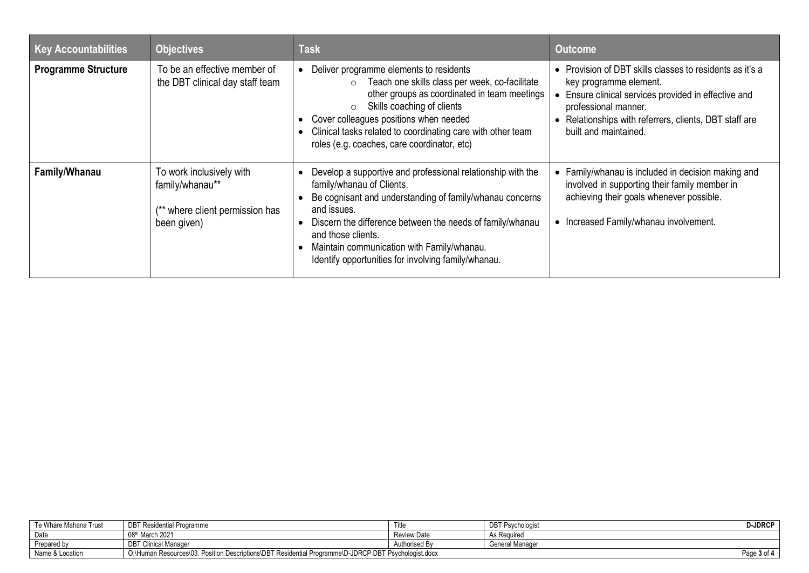| <b>Key Accountabilities</b> | <b>Objectives</b>                                                                            | <b>Task</b>                                                                                                                                                                                                                                                                                                                                                 | <b>Outcome</b>                                                                                                                                                                                                                                      |
|-----------------------------|----------------------------------------------------------------------------------------------|-------------------------------------------------------------------------------------------------------------------------------------------------------------------------------------------------------------------------------------------------------------------------------------------------------------------------------------------------------------|-----------------------------------------------------------------------------------------------------------------------------------------------------------------------------------------------------------------------------------------------------|
| <b>Programme Structure</b>  | To be an effective member of<br>the DBT clinical day staff team                              | Deliver programme elements to residents<br>Teach one skills class per week, co-facilitate<br>$\circ$<br>other groups as coordinated in team meetings<br>Skills coaching of clients<br>$\circ$<br>Cover colleagues positions when needed<br>Clinical tasks related to coordinating care with other team<br>roles (e.g. coaches, care coordinator, etc)       | • Provision of DBT skills classes to residents as it's a<br>key programme element.<br>Ensure clinical services provided in effective and<br>professional manner.<br>• Relationships with referrers, clients, DBT staff are<br>built and maintained. |
| Family/Whanau               | To work inclusively with<br>family/whanau**<br>** where client permission has<br>been given) | Develop a supportive and professional relationship with the<br>family/whanau of Clients.<br>Be cognisant and understanding of family/whanau concerns<br>and issues.<br>Discern the difference between the needs of family/whanau<br>and those clients.<br>Maintain communication with Family/whanau.<br>Identify opportunities for involving family/whanau. | • Family/whanau is included in decision making and<br>involved in supporting their family member in<br>achieving their goals whenever possible.<br>• Increased Family/whanau involvement.                                                           |

| Te Whare Mahana Trust | <b>DBT Residential Programme</b>                                                                     | l itle             | DBT F<br><sup>-</sup> Psvchologist | <b>D-JDRCF</b> |
|-----------------------|------------------------------------------------------------------------------------------------------|--------------------|------------------------------------|----------------|
| Date                  | 08th March 2021                                                                                      | <b>Review Date</b> | As Required                        |                |
| Prepared by           | <b>DBT Clinical Manager</b>                                                                          | Authorised By      | General Manager                    |                |
| Name & Location       | O:\Human Resources\03, Position Descriptions\DBT Residential Programme\D-JDRCP DBT Psychologist.docx |                    |                                    | Page 3 of      |